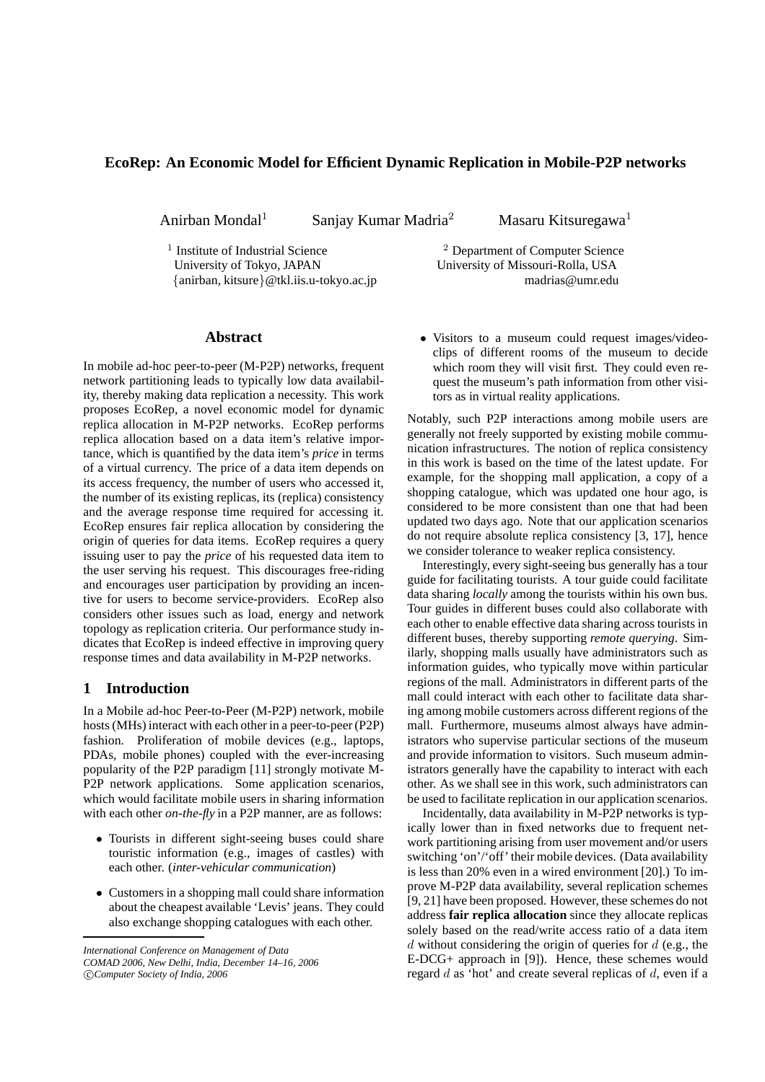# **EcoRep: An Economic Model for Efficient Dynamic Replication in Mobile-P2P networks**

Anirban Mondal<sup>1</sup> Sanjay Kumar Madria<sup>2</sup>

Masaru Kitsuregawa<sup>1</sup>

<sup>1</sup> Institute of Industrial Science University of Tokyo, JAPAN University of Missouri-Rolla, USA {anirban, kitsure}@tkl.iis.u-tokyo.ac.jp madrias@umr.edu

 $2$  Department of Computer Science

## **Abstract**

In mobile ad-hoc peer-to-peer (M-P2P) networks, frequent network partitioning leads to typically low data availability, thereby making data replication a necessity. This work proposes EcoRep, a novel economic model for dynamic replica allocation in M-P2P networks. EcoRep performs replica allocation based on a data item's relative importance, which is quantified by the data item's *price* in terms of a virtual currency. The price of a data item depends on its access frequency, the number of users who accessed it, the number of its existing replicas, its (replica) consistency and the average response time required for accessing it. EcoRep ensures fair replica allocation by considering the origin of queries for data items. EcoRep requires a query issuing user to pay the *price* of his requested data item to the user serving his request. This discourages free-riding and encourages user participation by providing an incentive for users to become service-providers. EcoRep also considers other issues such as load, energy and network topology as replication criteria. Our performance study indicates that EcoRep is indeed effective in improving query response times and data availability in M-P2P networks.

# **1 Introduction**

In a Mobile ad-hoc Peer-to-Peer (M-P2P) network, mobile hosts (MHs) interact with each other in a peer-to-peer(P2P) fashion. Proliferation of mobile devices (e.g., laptops, PDAs, mobile phones) coupled with the ever-increasing popularity of the P2P paradigm [11] strongly motivate M-P<sub>2P</sub> network applications. Some application scenarios, which would facilitate mobile users in sharing information with each other *on-the-fly* in a P2P manner, are as follows:

- Tourists in different sight-seeing buses could share touristic information (e.g., images of castles) with each other. (*inter-vehicular communication*)
- Customers in a shopping mall could share information about the cheapest available 'Levis' jeans. They could also exchange shopping catalogues with each other.

*International Conference on Management of Data*

c *Computer Society of India, 2006*

• Visitors to a museum could request images/videoclips of different rooms of the museum to decide which room they will visit first. They could even request the museum's path information from other visitors as in virtual reality applications.

Notably, such P2P interactions among mobile users are generally not freely supported by existing mobile communication infrastructures. The notion of replica consistency in this work is based on the time of the latest update. For example, for the shopping mall application, a copy of a shopping catalogue, which was updated one hour ago, is considered to be more consistent than one that had been updated two days ago. Note that our application scenarios do not require absolute replica consistency [3, 17], hence we consider tolerance to weaker replica consistency.

Interestingly, every sight-seeing bus generally has a tour guide for facilitating tourists. A tour guide could facilitate data sharing *locally* among the tourists within his own bus. Tour guides in different buses could also collaborate with each other to enable effective data sharing across tourists in different buses, thereby supporting *remote querying*. Similarly, shopping malls usually have administrators such as information guides, who typically move within particular regions of the mall. Administrators in different parts of the mall could interact with each other to facilitate data sharing among mobile customers across different regions of the mall. Furthermore, museums almost always have administrators who supervise particular sections of the museum and provide information to visitors. Such museum administrators generally have the capability to interact with each other. As we shall see in this work, such administrators can be used to facilitate replication in our application scenarios.

Incidentally, data availability in M-P2P networks is typically lower than in fixed networks due to frequent network partitioning arising from user movement and/or users switching 'on'/'off' their mobile devices. (Data availability is less than 20% even in a wired environment [20].) To improve M-P2P data availability, several replication schemes [9, 21] have been proposed. However, these schemes do not address **fair replica allocation** since they allocate replicas solely based on the read/write access ratio of a data item  $d$  without considering the origin of queries for  $d$  (e.g., the E-DCG+ approach in [9]). Hence, these schemes would regard  $d$  as 'hot' and create several replicas of  $d$ , even if a

*COMAD 2006, New Delhi, India, December 14–16, 2006*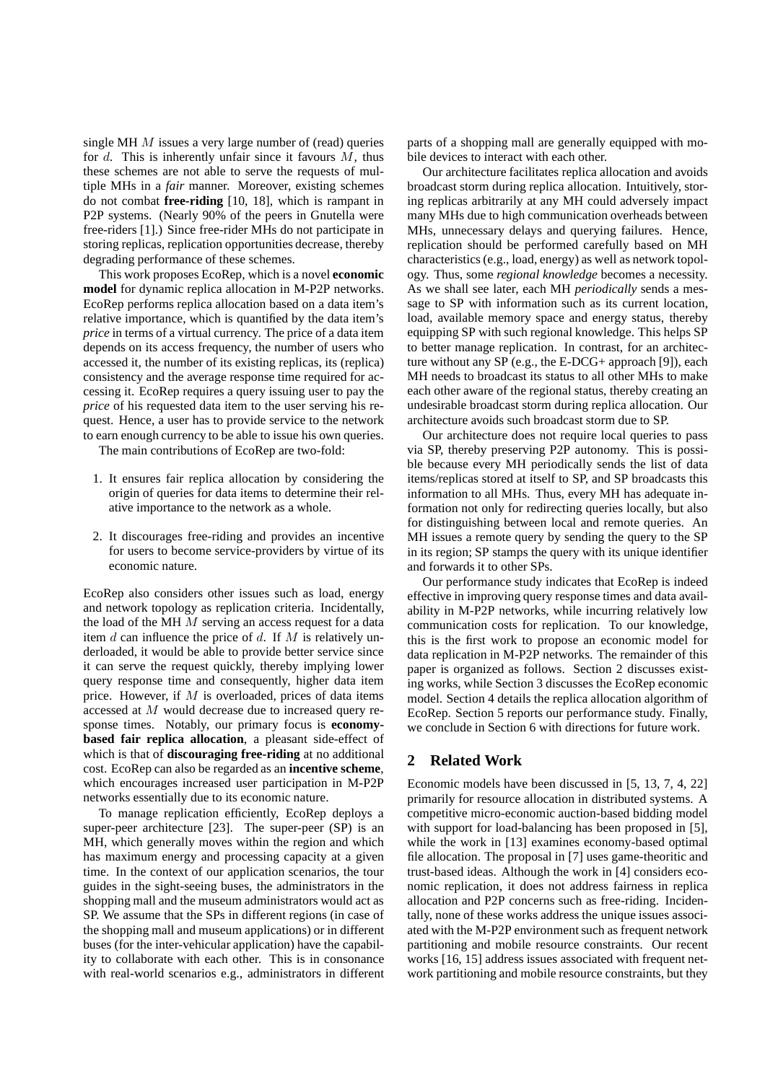single MH M issues a very large number of (read) queries for  $d$ . This is inherently unfair since it favours  $M$ , thus these schemes are not able to serve the requests of multiple MHs in a *fair* manner. Moreover, existing schemes do not combat **free-riding** [10, 18], which is rampant in P2P systems. (Nearly 90% of the peers in Gnutella were free-riders [1].) Since free-rider MHs do not participate in storing replicas, replication opportunities decrease, thereby degrading performance of these schemes.

This work proposes EcoRep, which is a novel **economic model** for dynamic replica allocation in M-P2P networks. EcoRep performs replica allocation based on a data item's relative importance, which is quantified by the data item's *price* in terms of a virtual currency. The price of a data item depends on its access frequency, the number of users who accessed it, the number of its existing replicas, its (replica) consistency and the average response time required for accessing it. EcoRep requires a query issuing user to pay the *price* of his requested data item to the user serving his request. Hence, a user has to provide service to the network to earn enough currency to be able to issue his own queries.

The main contributions of EcoRep are two-fold:

- 1. It ensures fair replica allocation by considering the origin of queries for data items to determine their relative importance to the network as a whole.
- 2. It discourages free-riding and provides an incentive for users to become service-providers by virtue of its economic nature.

EcoRep also considers other issues such as load, energy and network topology as replication criteria. Incidentally, the load of the MH M serving an access request for a data item  $d$  can influence the price of  $d$ . If  $M$  is relatively underloaded, it would be able to provide better service since it can serve the request quickly, thereby implying lower query response time and consequently, higher data item price. However, if M is overloaded, prices of data items accessed at M would decrease due to increased query response times. Notably, our primary focus is **economybased fair replica allocation**, a pleasant side-effect of which is that of **discouraging free-riding** at no additional cost. EcoRep can also be regarded as an **incentive scheme**, which encourages increased user participation in M-P2P networks essentially due to its economic nature.

To manage replication efficiently, EcoRep deploys a super-peer architecture [23]. The super-peer (SP) is an MH, which generally moves within the region and which has maximum energy and processing capacity at a given time. In the context of our application scenarios, the tour guides in the sight-seeing buses, the administrators in the shopping mall and the museum administrators would act as SP. We assume that the SPs in different regions (in case of the shopping mall and museum applications) or in different buses (for the inter-vehicular application) have the capability to collaborate with each other. This is in consonance with real-world scenarios e.g., administrators in different

parts of a shopping mall are generally equipped with mobile devices to interact with each other.

Our architecture facilitates replica allocation and avoids broadcast storm during replica allocation. Intuitively, storing replicas arbitrarily at any MH could adversely impact many MHs due to high communication overheads between MHs, unnecessary delays and querying failures. Hence, replication should be performed carefully based on MH characteristics (e.g., load, energy) as well as network topology. Thus, some *regional knowledge* becomes a necessity. As we shall see later, each MH *periodically* sends a message to SP with information such as its current location, load, available memory space and energy status, thereby equipping SP with such regional knowledge. This helps SP to better manage replication. In contrast, for an architecture without any SP (e.g., the E-DCG+ approach [9]), each MH needs to broadcast its status to all other MHs to make each other aware of the regional status, thereby creating an undesirable broadcast storm during replica allocation. Our architecture avoids such broadcast storm due to SP.

Our architecture does not require local queries to pass via SP, thereby preserving P2P autonomy. This is possible because every MH periodically sends the list of data items/replicas stored at itself to SP, and SP broadcasts this information to all MHs. Thus, every MH has adequate information not only for redirecting queries locally, but also for distinguishing between local and remote queries. An MH issues a remote query by sending the query to the SP in its region; SP stamps the query with its unique identifier and forwards it to other SPs.

Our performance study indicates that EcoRep is indeed effective in improving query response times and data availability in M-P2P networks, while incurring relatively low communication costs for replication. To our knowledge, this is the first work to propose an economic model for data replication in M-P2P networks. The remainder of this paper is organized as follows. Section 2 discusses existing works, while Section 3 discusses the EcoRep economic model. Section 4 details the replica allocation algorithm of EcoRep. Section 5 reports our performance study. Finally, we conclude in Section 6 with directions for future work.

## **2 Related Work**

Economic models have been discussed in [5, 13, 7, 4, 22] primarily for resource allocation in distributed systems. A competitive micro-economic auction-based bidding model with support for load-balancing has been proposed in [5], while the work in [13] examines economy-based optimal file allocation. The proposal in [7] uses game-theoritic and trust-based ideas. Although the work in [4] considers economic replication, it does not address fairness in replica allocation and P2P concerns such as free-riding. Incidentally, none of these works address the unique issues associated with the M-P2P environment such as frequent network partitioning and mobile resource constraints. Our recent works [16, 15] address issues associated with frequent network partitioning and mobile resource constraints, but they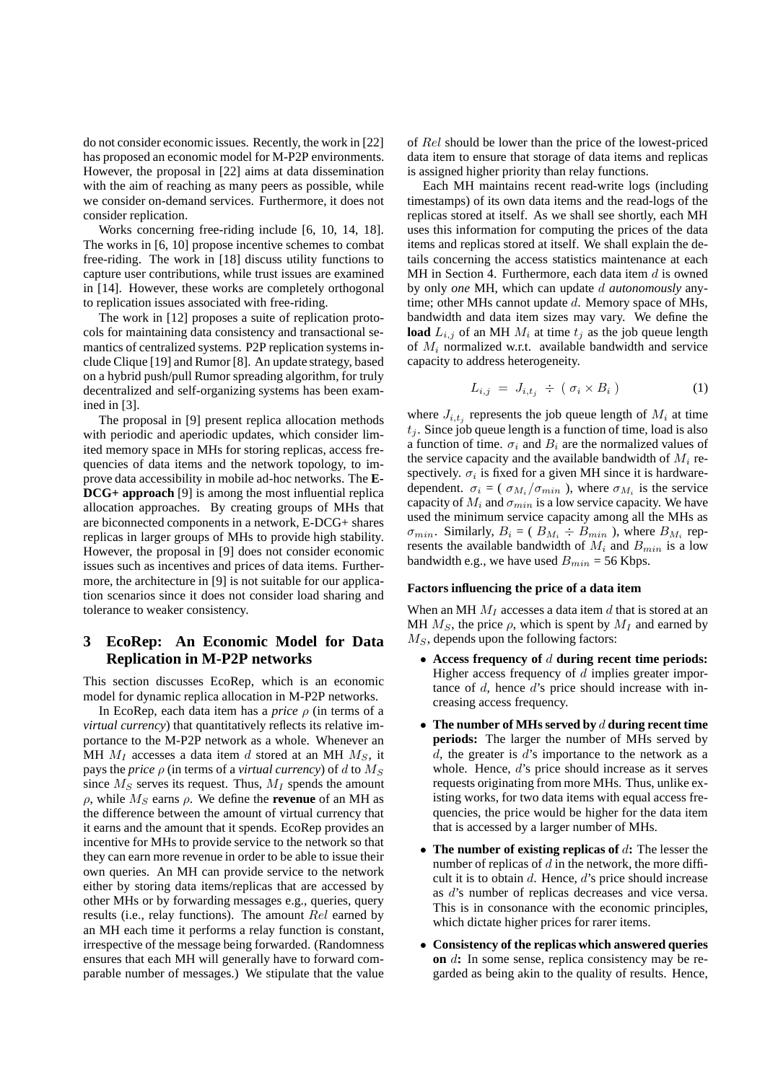do not consider economic issues. Recently, the work in [22] has proposed an economic model for M-P2P environments. However, the proposal in [22] aims at data dissemination with the aim of reaching as many peers as possible, while we consider on-demand services. Furthermore, it does not consider replication.

Works concerning free-riding include [6, 10, 14, 18]. The works in [6, 10] propose incentive schemes to combat free-riding. The work in [18] discuss utility functions to capture user contributions, while trust issues are examined in [14]. However, these works are completely orthogonal to replication issues associated with free-riding.

The work in [12] proposes a suite of replication protocols for maintaining data consistency and transactional semantics of centralized systems. P2P replication systems include Clique [19] and Rumor [8]. An update strategy, based on a hybrid push/pull Rumor spreading algorithm, for truly decentralized and self-organizing systems has been examined in [3].

The proposal in [9] present replica allocation methods with periodic and aperiodic updates, which consider limited memory space in MHs for storing replicas, access frequencies of data items and the network topology, to improve data accessibility in mobile ad-hoc networks. The **E-DCG+ approach** [9] is among the most influential replica allocation approaches. By creating groups of MHs that are biconnected components in a network, E-DCG+ shares replicas in larger groups of MHs to provide high stability. However, the proposal in [9] does not consider economic issues such as incentives and prices of data items. Furthermore, the architecture in [9] is not suitable for our application scenarios since it does not consider load sharing and tolerance to weaker consistency.

# **3 EcoRep: An Economic Model for Data Replication in M-P2P networks**

This section discusses EcoRep, which is an economic model for dynamic replica allocation in M-P2P networks.

In EcoRep, each data item has a *price* ρ (in terms of a *virtual currency*) that quantitatively reflects its relative importance to the M-P2P network as a whole. Whenever an MH  $M_I$  accesses a data item d stored at an MH  $M_S$ , it pays the *price*  $\rho$  (in terms of a *virtual currency*) of d to  $M<sub>S</sub>$ since  $M<sub>S</sub>$  serves its request. Thus,  $M<sub>I</sub>$  spends the amount  $ρ$ , while  $M<sub>S</sub>$  earns  $ρ$ . We define the **revenue** of an MH as the difference between the amount of virtual currency that it earns and the amount that it spends. EcoRep provides an incentive for MHs to provide service to the network so that they can earn more revenue in order to be able to issue their own queries. An MH can provide service to the network either by storing data items/replicas that are accessed by other MHs or by forwarding messages e.g., queries, query results (i.e., relay functions). The amount Rel earned by an MH each time it performs a relay function is constant, irrespective of the message being forwarded. (Randomness ensures that each MH will generally have to forward comparable number of messages.) We stipulate that the value

of Rel should be lower than the price of the lowest-priced data item to ensure that storage of data items and replicas is assigned higher priority than relay functions.

Each MH maintains recent read-write logs (including timestamps) of its own data items and the read-logs of the replicas stored at itself. As we shall see shortly, each MH uses this information for computing the prices of the data items and replicas stored at itself. We shall explain the details concerning the access statistics maintenance at each MH in Section 4. Furthermore, each data item  $d$  is owned by only *one* MH, which can update d *autonomously* anytime; other MHs cannot update  $d$ . Memory space of MHs, bandwidth and data item sizes may vary. We define the **load**  $L_{i,j}$  of an MH  $M_i$  at time  $t_j$  as the job queue length of  $M_i$  normalized w.r.t. available bandwidth and service capacity to address heterogeneity.

$$
L_{i,j} = J_{i,t_j} \div (\sigma_i \times B_i) \tag{1}
$$

where  $J_{i,t_j}$  represents the job queue length of  $M_i$  at time  $t_i$ . Since job queue length is a function of time, load is also a function of time.  $\sigma_i$  and  $B_i$  are the normalized values of the service capacity and the available bandwidth of  $M_i$  respectively.  $\sigma_i$  is fixed for a given MH since it is hardwaredependent.  $\sigma_i = (\sigma_{M_i}/\sigma_{min})$ , where  $\sigma_{M_i}$  is the service capacity of  $M_i$  and  $\sigma_{min}$  is a low service capacity. We have used the minimum service capacity among all the MHs as  $\sigma_{min}$ . Similarly,  $B_i = (B_{M_i} \div B_{min})$ , where  $B_{M_i}$  represents the available bandwidth of  $M_i$  and  $B_{min}$  is a low bandwidth e.g., we have used  $B_{min} = 56$  Kbps.

### **Factors influencing the price of a data item**

When an MH  $M_I$  accesses a data item d that is stored at an MH  $M<sub>S</sub>$ , the price  $\rho$ , which is spent by  $M<sub>I</sub>$  and earned by  $M<sub>S</sub>$ , depends upon the following factors:

- **Access frequency of** d **during recent time periods:** Higher access frequency of  $d$  implies greater importance of d, hence d's price should increase with increasing access frequency.
- **The number of MHs served by** d **during recent time periods:** The larger the number of MHs served by  $d$ , the greater is  $d$ 's importance to the network as a whole. Hence, d's price should increase as it serves requests originating from more MHs. Thus, unlike existing works, for two data items with equal access frequencies, the price would be higher for the data item that is accessed by a larger number of MHs.
- **The number of existing replicas of** d**:** The lesser the number of replicas of  $d$  in the network, the more difficult it is to obtain  $d$ . Hence,  $d$ 's price should increase as d's number of replicas decreases and vice versa. This is in consonance with the economic principles, which dictate higher prices for rarer items.
- **Consistency of the replicas which answered queries on** d**:** In some sense, replica consistency may be regarded as being akin to the quality of results. Hence,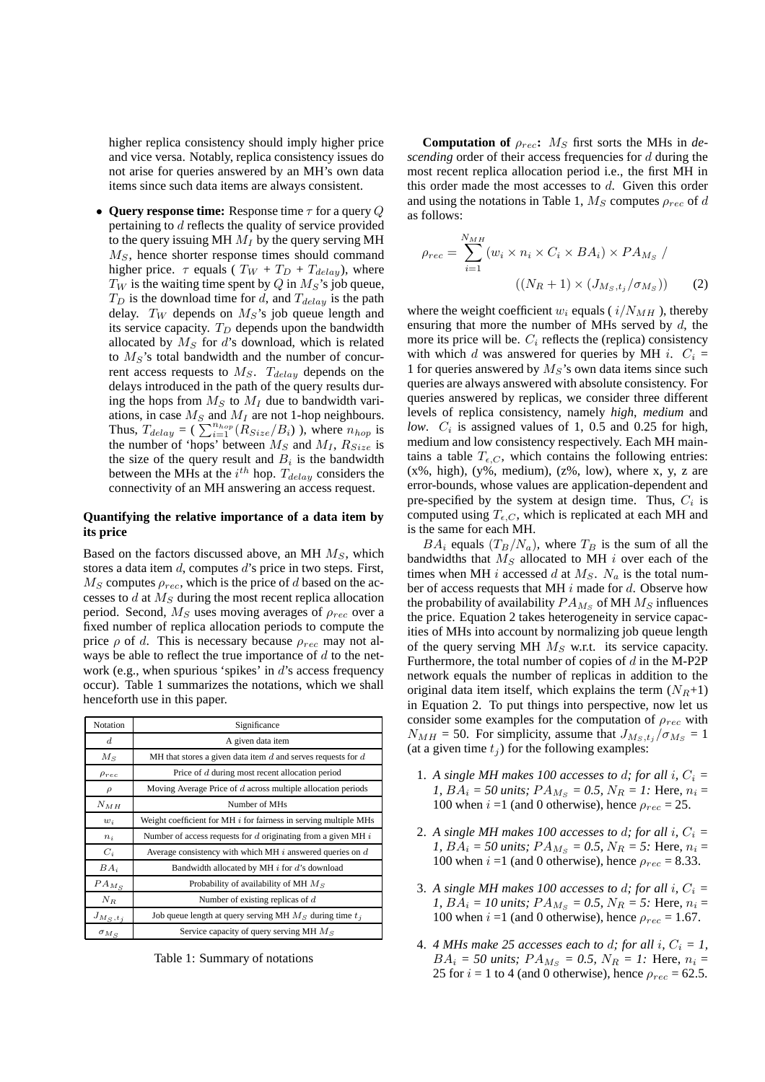higher replica consistency should imply higher price and vice versa. Notably, replica consistency issues do not arise for queries answered by an MH's own data items since such data items are always consistent.

• **Query response time:** Response time τ for a query Q pertaining to d reflects the quality of service provided to the query issuing MH  $M_I$  by the query serving MH  $M<sub>S</sub>$ , hence shorter response times should command higher price.  $\tau$  equals (  $T_W + T_D + T_{delay}$ ), where  $T_W$  is the waiting time spent by Q in  $M_S$ 's job queue,  $T_D$  is the download time for d, and  $T_{delay}$  is the path delay.  $T_W$  depends on  $M_S$ 's job queue length and its service capacity.  $T_D$  depends upon the bandwidth allocated by  $M<sub>S</sub>$  for d's download, which is related to  $M_S$ 's total bandwidth and the number of concurrent access requests to  $M_S$ .  $T_{delay}$  depends on the delays introduced in the path of the query results during the hops from  $M<sub>S</sub>$  to  $M<sub>I</sub>$  due to bandwidth variations, in case  ${\mathcal M}_S$  and  ${\mathcal M}_I$  are not 1-hop neighbours. Thus,  $T_{delay} = (\sum_{i=1}^{n_{hop}} (R_{Size}/B_i)$ ), where  $n_{hop}$  is the number of 'hops' between  $M_S$  and  $M_I$ ,  $R_{Size}$  is the size of the query result and  $B_i$  is the bandwidth between the MHs at the  $i^{th}$  hop.  $T_{delay}$  considers the connectivity of an MH answering an access request.

### **Quantifying the relative importance of a data item by its price**

Based on the factors discussed above, an MH  $M<sub>S</sub>$ , which stores a data item  $d$ , computes  $d$ 's price in two steps. First,  $M<sub>S</sub>$  computes  $\rho_{rec}$ , which is the price of d based on the accesses to  $d$  at  $M<sub>S</sub>$  during the most recent replica allocation period. Second,  $M<sub>S</sub>$  uses moving averages of  $\rho_{rec}$  over a fixed number of replica allocation periods to compute the price  $\rho$  of d. This is necessary because  $\rho_{rec}$  may not always be able to reflect the true importance of  $d$  to the network (e.g., when spurious 'spikes' in  $d$ 's access frequency occur). Table 1 summarizes the notations, which we shall henceforth use in this paper.

| Notation         | Significance                                                       |  |
|------------------|--------------------------------------------------------------------|--|
| $\boldsymbol{d}$ | A given data item                                                  |  |
| $M_{S}$          | MH that stores a given data item $d$ and serves requests for $d$   |  |
| $\rho_{rec}$     | Price of d during most recent allocation period                    |  |
| $\rho$           | Moving Average Price of d across multiple allocation periods       |  |
| $N_{MH}$         | Number of MHs                                                      |  |
| $w_i$            | Weight coefficient for MH $i$ for fairness in serving multiple MHs |  |
| $n_i$            | Number of access requests for $d$ originating from a given MH $i$  |  |
| $C_i$            | Average consistency with which MH $i$ answered queries on $d$      |  |
| $BA_i$           | Bandwidth allocated by MH i for d's download                       |  |
| $PA_{M_S}$       | Probability of availability of MH $M_s$                            |  |
| $N_R$            | Number of existing replicas of $d$                                 |  |
| $J_{M_S,t_j}$    | Job queue length at query serving MH $M_S$ during time $t_i$       |  |
| $\sigma_{M_S}$   | Service capacity of query serving MH $M_S$                         |  |

Table 1: Summary of notations

**Computation of**  $\rho_{rec}$ :  $M_S$  first sorts the MHs in *descending* order of their access frequencies for d during the most recent replica allocation period i.e., the first MH in this order made the most accesses to  $d$ . Given this order and using the notations in Table 1,  $M_S$  computes  $\rho_{rec}$  of d as follows:

$$
\rho_{rec} = \sum_{i=1}^{N_{MH}} (w_i \times n_i \times C_i \times BA_i) \times PA_{M_S} / \left( (N_R + 1) \times (J_{M_S, t_j} / \sigma_{M_S}) \right)
$$
(2)

where the weight coefficient  $w_i$  equals (  $i/N_{MH}$  ), thereby ensuring that more the number of MHs served by  $d$ , the more its price will be.  $C_i$  reflects the (replica) consistency with which d was answered for queries by MH i.  $C_i$  = 1 for queries answered by  $M_S$ 's own data items since such queries are always answered with absolute consistency. For queries answered by replicas, we consider three different levels of replica consistency, namely *high*, *medium* and *low.*  $C_i$  is assigned values of 1, 0.5 and 0.25 for high, medium and low consistency respectively. Each MH maintains a table  $T_{\epsilon,C}$ , which contains the following entries:  $(x\%, high)$ ,  $(y\%, medium)$ ,  $(z\%, low)$ , where x, y, z are error-bounds, whose values are application-dependent and pre-specified by the system at design time. Thus,  $C_i$  is computed using  $T_{\epsilon,C}$ , which is replicated at each MH and is the same for each MH.

 $BA_i$  equals  $(T_B/N_a)$ , where  $T_B$  is the sum of all the bandwidths that  $M<sub>S</sub>$  allocated to MH i over each of the times when MH i accessed d at  $M<sub>S</sub>$ .  $N<sub>a</sub>$  is the total number of access requests that MH  $i$  made for  $d$ . Observe how the probability of availability  $PA_{M_S}$  of MH  $M_S$  influences the price. Equation 2 takes heterogeneity in service capacities of MHs into account by normalizing job queue length of the query serving MH  $M<sub>S</sub>$  w.r.t. its service capacity. Furthermore, the total number of copies of  $d$  in the M-P2P network equals the number of replicas in addition to the original data item itself, which explains the term  $(N_R+1)$ in Equation 2. To put things into perspective, now let us consider some examples for the computation of  $\rho_{rec}$  with  $N_{MH} = 50$ . For simplicity, assume that  $J_{M_S, t_i}/\sigma_{M_S} = 1$ (at a given time  $t_i$ ) for the following examples:

- 1. A single MH makes 100 accesses to d; for all i,  $C_i =$ *1,*  $BA_i = 50 \text{ units}; PA_{M_S} = 0.5, N_R = 1$ : Here,  $n_i =$ 100 when  $i = 1$  (and 0 otherwise), hence  $\rho_{rec} = 25$ .
- 2. A single MH makes 100 accesses to d; for all i,  $C_i =$ *1,*  $BA_i = 50 \text{ units}; PA_{M_S} = 0.5, N_R = 5$ : Here,  $n_i =$ 100 when  $i = 1$  (and 0 otherwise), hence  $\rho_{rec} = 8.33$ .
- 3. A single MH makes 100 accesses to d; for all i,  $C_i =$ *1,*  $BA_i = 10 \text{ units}; PA_{M_S} = 0.5, N_R = 5$ : Here,  $n_i =$ 100 when  $i = 1$  (and 0 otherwise), hence  $\rho_{rec} = 1.67$ .
- 4. *4 MHs make 25 accesses each to d; for all i,*  $C_i = 1$ *,*  $BA_i = 50 \text{ units}; PA_{M_S} = 0.5, N_R = 1$ : Here,  $n_i =$ 25 for  $i = 1$  to 4 (and 0 otherwise), hence  $\rho_{rec} = 62.5$ .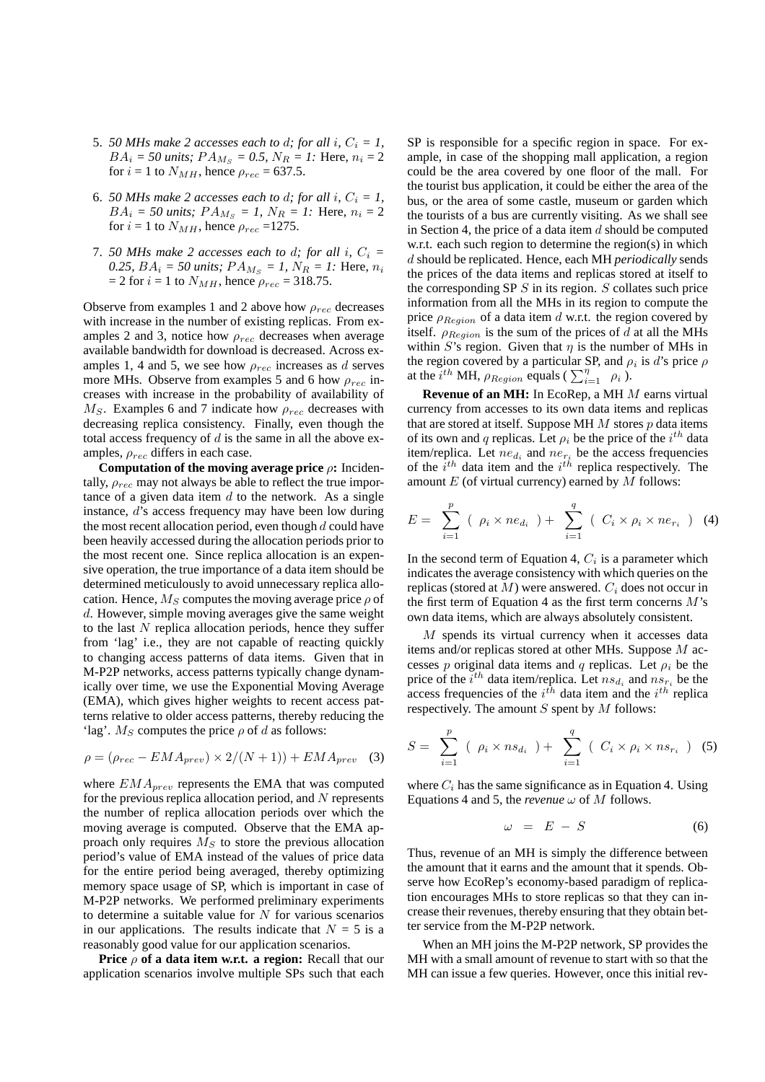- 5. *50 MHs make 2 accesses each to d; for all i,*  $C_i = 1$ ,  $BA_i = 50 \text{ units}; PA_{M_S} = 0.5, N_R = 1$ : Here,  $n_i = 2$ for  $i = 1$  to  $N_{MH}$ , hence  $\rho_{rec} = 637.5$ .
- 6. *50 MHs make 2 accesses each to d; for all i,*  $C_i = 1$ *,*  $BA_i = 50 \text{ units}; PA_{M_s} = 1, N_R = 1$ : Here,  $n_i = 2$ for  $i = 1$  to  $N_{MH}$ , hence  $\rho_{rec} = 1275$ .
- 7. *50 MHs make 2 accesses each to d; for all i,*  $C_i =$ *0.25,*  $BA_i = 50 \text{ units; } PA_{M_S} = 1, N_R = 1$ : Here,  $n_i$  $= 2$  for  $i = 1$  to  $N_{MH}$ , hence  $\rho_{rec} = 318.75$ .

Observe from examples 1 and 2 above how  $\rho_{rec}$  decreases with increase in the number of existing replicas. From examples 2 and 3, notice how  $\rho_{rec}$  decreases when average available bandwidth for download is decreased. Across examples 1, 4 and 5, we see how  $\rho_{rec}$  increases as d serves more MHs. Observe from examples 5 and 6 how  $\rho_{rec}$  increases with increase in the probability of availability of  $M<sub>S</sub>$ . Examples 6 and 7 indicate how  $\rho_{rec}$  decreases with decreasing replica consistency. Finally, even though the total access frequency of  $d$  is the same in all the above examples,  $\rho_{rec}$  differs in each case.

**Computation of the moving average price** ρ**:** Incidentally,  $\rho_{rec}$  may not always be able to reflect the true importance of a given data item  $d$  to the network. As a single instance, d's access frequency may have been low during the most recent allocation period, even though  $d$  could have been heavily accessed during the allocation periods prior to the most recent one. Since replica allocation is an expensive operation, the true importance of a data item should be determined meticulously to avoid unnecessary replica allocation. Hence,  $M_S$  computes the moving average price  $\rho$  of d. However, simple moving averages give the same weight to the last  $N$  replica allocation periods, hence they suffer from 'lag' i.e., they are not capable of reacting quickly to changing access patterns of data items. Given that in M-P2P networks, access patterns typically change dynamically over time, we use the Exponential Moving Average (EMA), which gives higher weights to recent access patterns relative to older access patterns, thereby reducing the 'lag'.  $M_S$  computes the price  $\rho$  of d as follows:

$$
\rho = (\rho_{rec} - EMA_{prev}) \times 2/(N+1)) + EMA_{prev}
$$
 (3)

where  $EMA_{prev}$  represents the EMA that was computed for the previous replica allocation period, and  $N$  represents the number of replica allocation periods over which the moving average is computed. Observe that the EMA approach only requires  $M<sub>S</sub>$  to store the previous allocation period's value of EMA instead of the values of price data for the entire period being averaged, thereby optimizing memory space usage of SP, which is important in case of M-P2P networks. We performed preliminary experiments to determine a suitable value for  $N$  for various scenarios in our applications. The results indicate that  $N = 5$  is a reasonably good value for our application scenarios.

**Price** ρ **of a data item w.r.t. a region:** Recall that our application scenarios involve multiple SPs such that each

SP is responsible for a specific region in space. For example, in case of the shopping mall application, a region could be the area covered by one floor of the mall. For the tourist bus application, it could be either the area of the bus, or the area of some castle, museum or garden which the tourists of a bus are currently visiting. As we shall see in Section 4, the price of a data item  $d$  should be computed w.r.t. each such region to determine the region(s) in which d should be replicated. Hence, each MH *periodically* sends the prices of the data items and replicas stored at itself to the corresponding SP  $S$  in its region.  $S$  collates such price information from all the MHs in its region to compute the price  $\rho_{Region}$  of a data item d w.r.t. the region covered by itself.  $\rho_{Region}$  is the sum of the prices of d at all the MHs within S's region. Given that  $\eta$  is the number of MHs in the region covered by a particular SP, and  $\rho_i$  is d's price  $\rho$ at the  $i^{th}$  MH,  $\rho_{Region}$  equals ( $\sum_{i=1}^{n} \rho_i$ ).

**Revenue of an MH:** In EcoRep, a MH M earns virtual currency from accesses to its own data items and replicas that are stored at itself. Suppose MH  $M$  stores  $p$  data items of its own and q replicas. Let  $\rho_i$  be the price of the  $i^{th}$  data item/replica. Let  $ne_{d_i}$  and  $ne_{r_i}$  be the access frequencies of the  $i^{th}$  data item and the  $i^{th}$  replica respectively. The amount  $E$  (of virtual currency) earned by  $M$  follows:

$$
E = \sum_{i=1}^{p} (\rho_i \times ne_{d_i}) + \sum_{i=1}^{q} (C_i \times \rho_i \times ne_{r_i})
$$
 (4)

In the second term of Equation 4,  $C_i$  is a parameter which indicates the average consistency with which queries on the replicas (stored at  $M$ ) were answered.  $C_i$  does not occur in the first term of Equation 4 as the first term concerns  $M$ 's own data items, which are always absolutely consistent.

 $M$  spends its virtual currency when it accesses data items and/or replicas stored at other MHs. Suppose  $M$  accesses p original data items and q replicas. Let  $\rho_i$  be the price of the  $i^{th}$  data item/replica. Let  $ns_{d_i}$  and  $ns_{r_i}$  be the access frequencies of the  $i^{th}$  data item and the  $i^{th}$  replica respectively. The amount  $S$  spent by  $M$  follows:

$$
S = \sum_{i=1}^{p} ( \rho_i \times n s_{d_i} ) + \sum_{i=1}^{q} ( C_i \times \rho_i \times n s_{r_i} )
$$
 (5)

where  $C_i$  has the same significance as in Equation 4. Using Equations 4 and 5, the *revenue*  $\omega$  of M follows.

$$
\omega = E - S \tag{6}
$$

Thus, revenue of an MH is simply the difference between the amount that it earns and the amount that it spends. Observe how EcoRep's economy-based paradigm of replication encourages MHs to store replicas so that they can increase their revenues, thereby ensuring that they obtain better service from the M-P2P network.

When an MH joins the M-P2P network, SP provides the MH with a small amount of revenue to start with so that the MH can issue a few queries. However, once this initial rev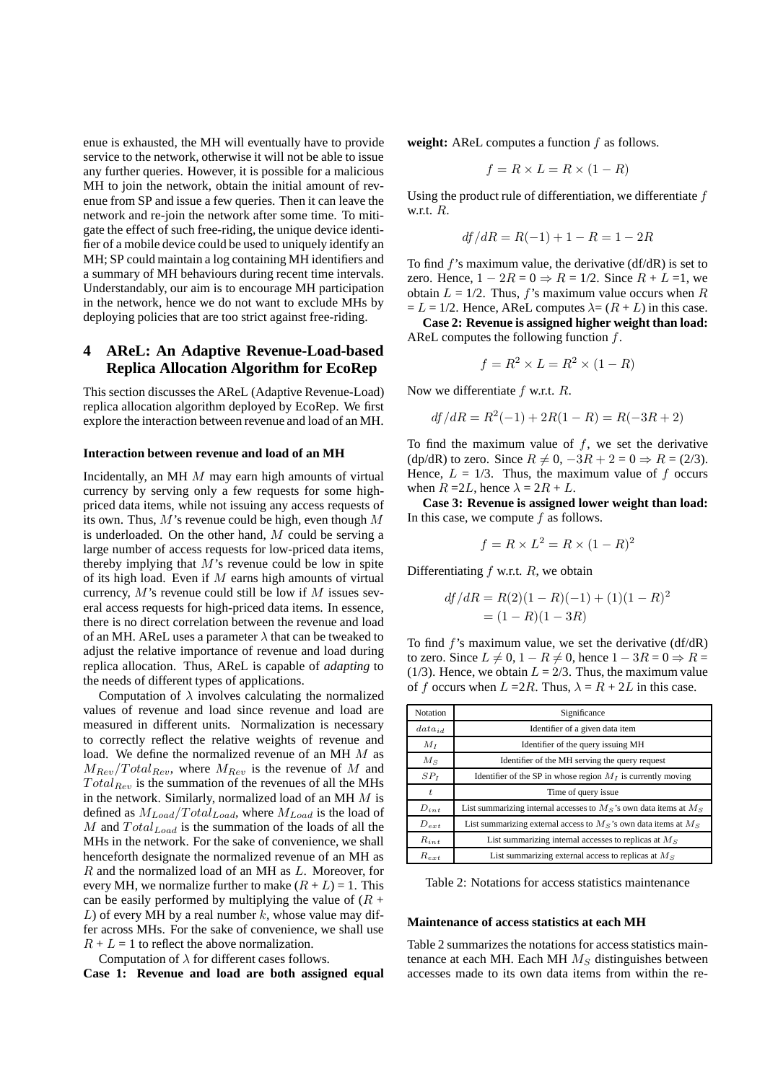enue is exhausted, the MH will eventually have to provide service to the network, otherwise it will not be able to issue any further queries. However, it is possible for a malicious MH to join the network, obtain the initial amount of revenue from SP and issue a few queries. Then it can leave the network and re-join the network after some time. To mitigate the effect of such free-riding, the unique device identifier of a mobile device could be used to uniquely identify an MH; SP could maintain a log containing MH identifiers and a summary of MH behaviours during recent time intervals. Understandably, our aim is to encourage MH participation in the network, hence we do not want to exclude MHs by deploying policies that are too strict against free-riding.

## **4 AReL: An Adaptive Revenue-Load-based Replica Allocation Algorithm for EcoRep**

This section discusses the AReL (Adaptive Revenue-Load) replica allocation algorithm deployed by EcoRep. We first explore the interaction between revenue and load of an MH.

#### **Interaction between revenue and load of an MH**

Incidentally, an MH M may earn high amounts of virtual currency by serving only a few requests for some highpriced data items, while not issuing any access requests of its own. Thus,  $M$ 's revenue could be high, even though  $M$ is underloaded. On the other hand, M could be serving a large number of access requests for low-priced data items, thereby implying that  $M$ 's revenue could be low in spite of its high load. Even if  $M$  earns high amounts of virtual currency,  $M$ 's revenue could still be low if  $M$  issues several access requests for high-priced data items. In essence, there is no direct correlation between the revenue and load of an MH. AReL uses a parameter  $\lambda$  that can be tweaked to adjust the relative importance of revenue and load during replica allocation. Thus, AReL is capable of *adapting* to the needs of different types of applications.

Computation of  $\lambda$  involves calculating the normalized values of revenue and load since revenue and load are measured in different units. Normalization is necessary to correctly reflect the relative weights of revenue and load. We define the normalized revenue of an MH M as  $M_{Rev}/Total_{Rev}$ , where  $M_{Rev}$  is the revenue of M and  $Total_{Rev}$  is the summation of the revenues of all the MHs in the network. Similarly, normalized load of an MH M is defined as  $M_{Load}/Total_{Load}$ , where  $M_{Load}$  is the load of M and  $Total_{Load}$  is the summation of the loads of all the MHs in the network. For the sake of convenience, we shall henceforth designate the normalized revenue of an MH as R and the normalized load of an MH as L. Moreover, for every MH, we normalize further to make  $(R + L) = 1$ . This can be easily performed by multiplying the value of  $(R +$ L) of every MH by a real number  $k$ , whose value may differ across MHs. For the sake of convenience, we shall use  $R + L = 1$  to reflect the above normalization.

Computation of  $\lambda$  for different cases follows.

**Case 1: Revenue and load are both assigned equal**

**weight:** AReL computes a function f as follows.

$$
f = R \times L = R \times (1 - R)
$$

Using the product rule of differentiation, we differentiate  $f$ w.r.t. R.

$$
df/dR = R(-1) + 1 - R = 1 - 2R
$$

To find f's maximum value, the derivative (df/dR) is set to zero. Hence,  $1 - 2R = 0 \Rightarrow R = 1/2$ . Since  $R + L = 1$ , we obtain  $L = 1/2$ . Thus, f's maximum value occurs when R  $= L = 1/2$ . Hence, AReL computes  $\lambda = (R + L)$  in this case.

**Case 2: Revenue is assigned higher weight than load:** AReL computes the following function f.

$$
f = R^2 \times L = R^2 \times (1 - R)
$$

Now we differentiate  $f$  w.r.t.  $R$ .

$$
df/dR = R^2(-1) + 2R(1 - R) = R(-3R + 2)
$$

To find the maximum value of  $f$ , we set the derivative (dp/dR) to zero. Since  $R \neq 0$ ,  $-3R + 2 = 0 \Rightarrow R = (2/3)$ . Hence,  $L = 1/3$ . Thus, the maximum value of f occurs when  $R = 2L$ , hence  $\lambda = 2R + L$ .

**Case 3: Revenue is assigned lower weight than load:** In this case, we compute  $f$  as follows.

$$
f = R \times L^2 = R \times (1 - R)^2
$$

Differentiating  $f$  w.r.t.  $R$ , we obtain

$$
df/dR = R(2)(1 - R)(-1) + (1)(1 - R)^{2}
$$
  
= (1 - R)(1 - 3R)

To find  $f$ 's maximum value, we set the derivative (df/dR) to zero. Since  $L \neq 0, 1 - R \neq 0$ , hence  $1 - 3R = 0 \Rightarrow R =$ (1/3). Hence, we obtain  $L = 2/3$ . Thus, the maximum value of f occurs when  $L = 2R$ . Thus,  $\lambda = R + 2L$  in this case.

| Notation    | Significance                                                           |  |
|-------------|------------------------------------------------------------------------|--|
| $data_{id}$ | Identifier of a given data item                                        |  |
| $M_I$       | Identifier of the query issuing MH                                     |  |
| $M_{\rm S}$ | Identifier of the MH serving the query request                         |  |
| $SP_I$      | Identifier of the SP in whose region $M_I$ is currently moving         |  |
| t.          | Time of query issue                                                    |  |
| $D_{int}$   | List summarizing internal accesses to $M_S$ 's own data items at $M_S$ |  |
| $D_{ext}$   | List summarizing external access to $M_S$ 's own data items at $M_S$   |  |
| $R_{int}$   | List summarizing internal accesses to replicas at $MS$                 |  |
| $R_{ext}$   | List summarizing external access to replicas at $M_S$                  |  |

Table 2: Notations for access statistics maintenance

#### **Maintenance of access statistics at each MH**

Table 2 summarizes the notations for access statistics maintenance at each MH. Each MH  $M<sub>S</sub>$  distinguishes between accesses made to its own data items from within the re-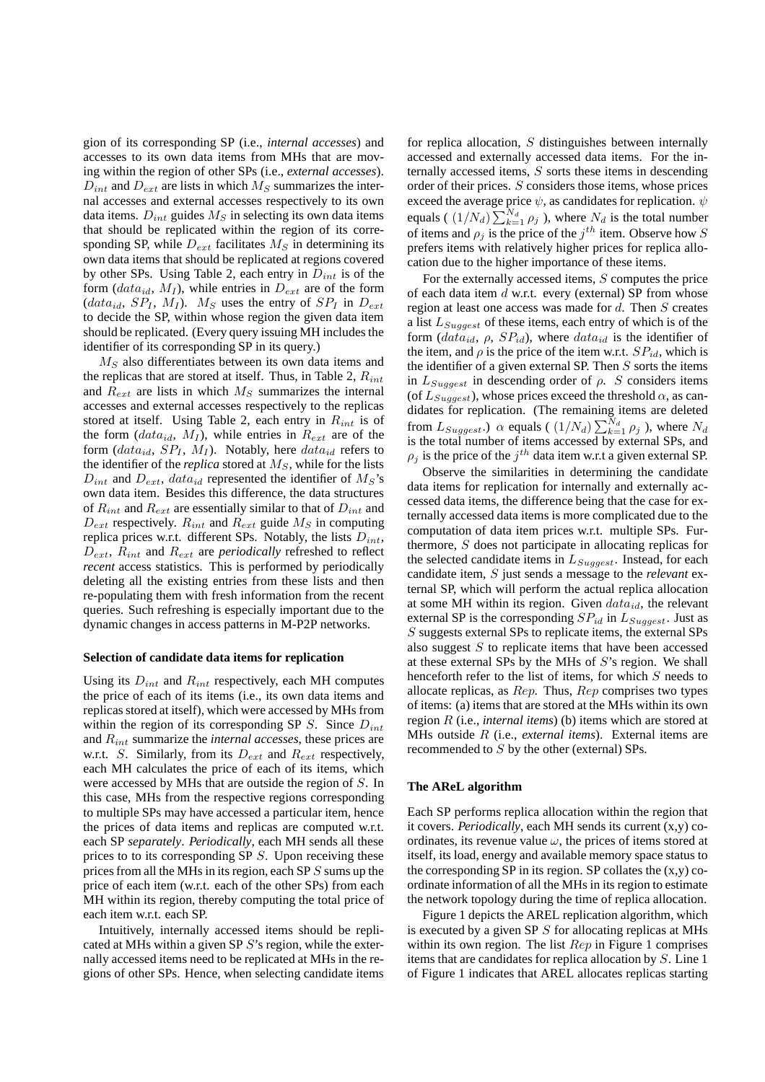gion of its corresponding SP (i.e., *internal accesses*) and accesses to its own data items from MHs that are moving within the region of other SPs (i.e., *external accesses*).  $D_{int}$  and  $D_{ext}$  are lists in which  $M_S$  summarizes the internal accesses and external accesses respectively to its own data items.  $D_{int}$  guides  $M<sub>S</sub>$  in selecting its own data items that should be replicated within the region of its corresponding SP, while  $D_{ext}$  facilitates  $M_S$  in determining its own data items that should be replicated at regions covered by other SPs. Using Table 2, each entry in  $D_{int}$  is of the form  $(data_{id}, M_I)$ , while entries in  $D_{ext}$  are of the form  $(data_{id}, SP_I, M_I)$ . M<sub>S</sub> uses the entry of  $SP_I$  in  $D_{ext}$ to decide the SP, within whose region the given data item should be replicated. (Every query issuing MH includes the identifier of its corresponding SP in its query.)

 $M<sub>S</sub>$  also differentiates between its own data items and the replicas that are stored at itself. Thus, in Table 2,  $R_{int}$ and  $R_{ext}$  are lists in which  $M_S$  summarizes the internal accesses and external accesses respectively to the replicas stored at itself. Using Table 2, each entry in  $R_{int}$  is of the form  $(data_{id}, M_I)$ , while entries in  $R_{ext}$  are of the form  $(data_{id}, SP_I, M_I)$ . Notably, here  $data_{id}$  refers to the identifier of the *replica* stored at  $M<sub>S</sub>$ , while for the lists  $D_{int}$  and  $D_{ext}$ , data<sub>id</sub> represented the identifier of  $M_S$ 's own data item. Besides this difference, the data structures of  $R_{int}$  and  $R_{ext}$  are essentially similar to that of  $D_{int}$  and  $D_{ext}$  respectively.  $R_{int}$  and  $R_{ext}$  guide  $M_S$  in computing replica prices w.r.t. different SPs. Notably, the lists  $D_{int}$ ,  $D_{ext}$ ,  $R_{int}$  and  $R_{ext}$  are *periodically* refreshed to reflect *recent* access statistics. This is performed by periodically deleting all the existing entries from these lists and then re-populating them with fresh information from the recent queries. Such refreshing is especially important due to the dynamic changes in access patterns in M-P2P networks.

### **Selection of candidate data items for replication**

Using its  $D_{int}$  and  $R_{int}$  respectively, each MH computes the price of each of its items (i.e., its own data items and replicas stored at itself), which were accessed by MHs from within the region of its corresponding SP  $S$ . Since  $D_{int}$ and Rint summarize the *internal accesses*, these prices are w.r.t. S. Similarly, from its  $D_{ext}$  and  $R_{ext}$  respectively, each MH calculates the price of each of its items, which were accessed by MHs that are outside the region of S. In this case, MHs from the respective regions corresponding to multiple SPs may have accessed a particular item, hence the prices of data items and replicas are computed w.r.t. each SP *separately*. *Periodically*, each MH sends all these prices to to its corresponding SP S. Upon receiving these prices from all the MHs in its region, each SP  $S$  sums up the price of each item (w.r.t. each of the other SPs) from each MH within its region, thereby computing the total price of each item w.r.t. each SP.

Intuitively, internally accessed items should be replicated at MHs within a given SP S's region, while the externally accessed items need to be replicated at MHs in the regions of other SPs. Hence, when selecting candidate items

for replica allocation,  $S$  distinguishes between internally accessed and externally accessed data items. For the internally accessed items, S sorts these items in descending order of their prices. S considers those items, whose prices exceed the average price  $\psi$ , as candidates for replication.  $\psi$ equals ( $(1/N_d) \sum_{k=1}^{N_d} \rho_j$ ), where  $N_d$  is the total number of items and  $\rho_j$  is the price of the  $j^{th}$  item. Observe how S prefers items with relatively higher prices for replica allocation due to the higher importance of these items.

For the externally accessed items,  $S$  computes the price of each data item  $d$  w.r.t. every (external) SP from whose region at least one access was made for  $d$ . Then  $S$  creates a list  $L_{Suggest}$  of these items, each entry of which is of the form  $(data_{id}, \rho, SP_{id})$ , where  $data_{id}$  is the identifier of the item, and  $\rho$  is the price of the item w.r.t.  $SP_{id}$ , which is the identifier of a given external SP. Then  $S$  sorts the items in  $L_{Suggest}$  in descending order of  $\rho$ . S considers items (of  $L_{Suggest}$ ), whose prices exceed the threshold  $\alpha$ , as candidates for replication. (The remaining items are deleted from  $L_{Suggest.}$ )  $\alpha$  equals (  $(1/N_d) \sum_{k=1}^{N_d} \rho_j$  ), where  $N_d$ is the total number of items accessed by external SPs, and  $\rho_j$  is the price of the  $j^{th}$  data item w.r.t a given external SP.

Observe the similarities in determining the candidate data items for replication for internally and externally accessed data items, the difference being that the case for externally accessed data items is more complicated due to the computation of data item prices w.r.t. multiple SPs. Furthermore,  $S$  does not participate in allocating replicas for the selected candidate items in  $L_{Suggest}$ . Instead, for each candidate item, S just sends a message to the *relevant* external SP, which will perform the actual replica allocation at some MH within its region. Given  $data_{id}$ , the relevant external SP is the corresponding  $SP_{id}$  in  $L_{Suggest}$ . Just as S suggests external SPs to replicate items, the external SPs also suggest  $S$  to replicate items that have been accessed at these external SPs by the MHs of  $S$ 's region. We shall henceforth refer to the list of items, for which S needs to allocate replicas, as  $Rep.$  Thus,  $Rep$  comprises two types of items: (a) items that are stored at the MHs within its own region R (i.e., *internal items*) (b) items which are stored at MHs outside R (i.e., *external items*). External items are recommended to S by the other (external) SPs.

### **The AReL algorithm**

Each SP performs replica allocation within the region that it covers. *Periodically*, each MH sends its current (x,y) coordinates, its revenue value  $\omega$ , the prices of items stored at itself, its load, energy and available memory space status to the corresponding SP in its region. SP collates the  $(x,y)$  coordinate information of all the MHs in its region to estimate the network topology during the time of replica allocation.

Figure 1 depicts the AREL replication algorithm, which is executed by a given SP  $S$  for allocating replicas at MHs within its own region. The list  $Rep$  in Figure 1 comprises items that are candidates for replica allocation by S. Line 1 of Figure 1 indicates that AREL allocates replicas starting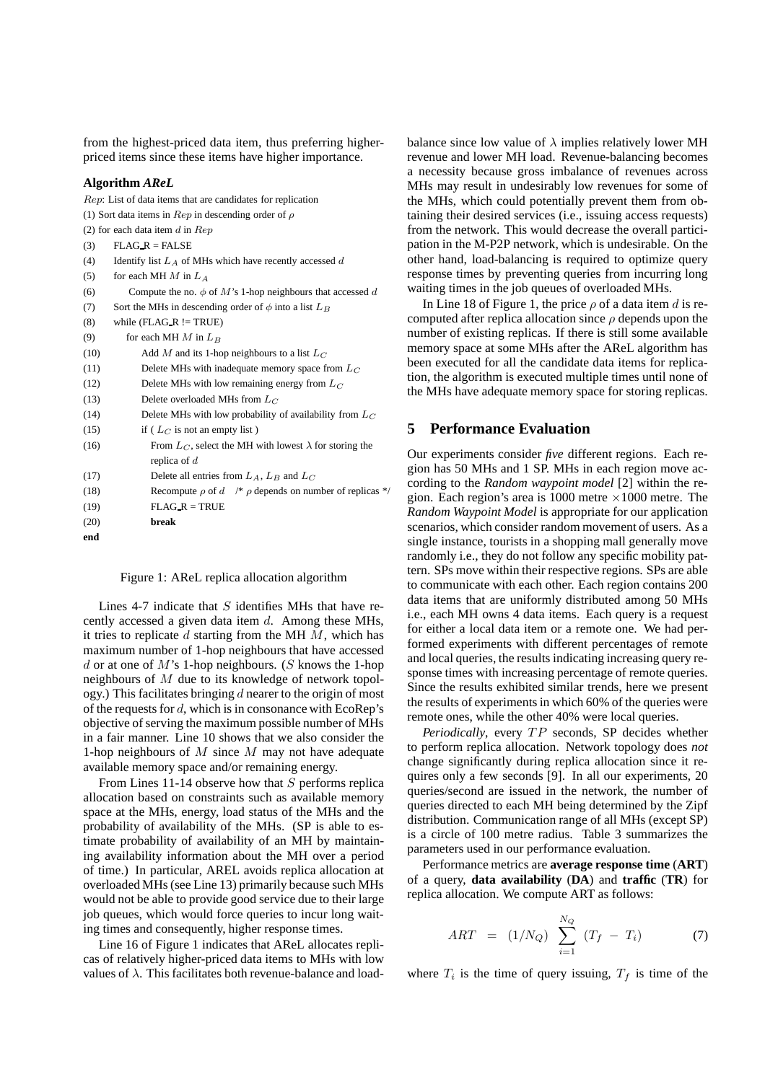from the highest-priced data item, thus preferring higherpriced items since these items have higher importance.

#### **Algorithm** *AReL*

Rep: List of data items that are candidates for replication (1) Sort data items in  $Rep$  in descending order of  $\rho$ (2) for each data item  $d$  in  $Rep$ (3)  $FLAG_R = FALSE$ (4) Identify list  $L_A$  of MHs which have recently accessed d (5) for each MH  $M$  in  $L_A$ (6) Compute the no.  $\phi$  of M's 1-hop neighbours that accessed d (7) Sort the MHs in descending order of  $\phi$  into a list  $L_B$  $(8)$  while (FLAG\_R != TRUE) (9) for each MH  $M$  in  $L_B$ (10) Add M and its 1-hop neighbours to a list  $L_C$ (11) Delete MHs with inadequate memory space from  $L_C$ (12) Delete MHs with low remaining energy from  $L_C$ (13) Delete overloaded MHs from  $L_C$ (14) Delete MHs with low probability of availability from  $L_C$ (15) if ( $L_C$  is not an empty list) (16) From  $L_C$ , select the MH with lowest  $\lambda$  for storing the replica of d (17) Delete all entries from  $L_A$ ,  $L_B$  and  $L_C$ (18) Recompute  $\rho$  of  $d \neq \rho$  depends on number of replicas \*/  $(19)$  FLAG\_R = TRUE (20) **break end**

Figure 1: AReL replica allocation algorithm

Lines 4-7 indicate that  $S$  identifies MHs that have recently accessed a given data item d. Among these MHs, it tries to replicate  $d$  starting from the MH  $M$ , which has maximum number of 1-hop neighbours that have accessed  $d$  or at one of  $M$ 's 1-hop neighbours. ( $S$  knows the 1-hop neighbours of M due to its knowledge of network topology.) This facilitates bringing  $d$  nearer to the origin of most of the requests for  $d$ , which is in consonance with EcoRep's objective of serving the maximum possible number of MHs in a fair manner. Line 10 shows that we also consider the 1-hop neighbours of  $M$  since  $M$  may not have adequate available memory space and/or remaining energy.

From Lines 11-14 observe how that  $S$  performs replica allocation based on constraints such as available memory space at the MHs, energy, load status of the MHs and the probability of availability of the MHs. (SP is able to estimate probability of availability of an MH by maintaining availability information about the MH over a period of time.) In particular, AREL avoids replica allocation at overloaded MHs (see Line 13) primarily because such MHs would not be able to provide good service due to their large job queues, which would force queries to incur long waiting times and consequently, higher response times.

Line 16 of Figure 1 indicates that AReL allocates replicas of relatively higher-priced data items to MHs with low values of  $\lambda$ . This facilitates both revenue-balance and loadbalance since low value of  $\lambda$  implies relatively lower MH revenue and lower MH load. Revenue-balancing becomes a necessity because gross imbalance of revenues across MHs may result in undesirably low revenues for some of the MHs, which could potentially prevent them from obtaining their desired services (i.e., issuing access requests) from the network. This would decrease the overall participation in the M-P2P network, which is undesirable. On the other hand, load-balancing is required to optimize query response times by preventing queries from incurring long waiting times in the job queues of overloaded MHs.

In Line 18 of Figure 1, the price  $\rho$  of a data item d is recomputed after replica allocation since  $\rho$  depends upon the number of existing replicas. If there is still some available memory space at some MHs after the AReL algorithm has been executed for all the candidate data items for replication, the algorithm is executed multiple times until none of the MHs have adequate memory space for storing replicas.

## **5 Performance Evaluation**

Our experiments consider *five* different regions. Each region has 50 MHs and 1 SP. MHs in each region move according to the *Random waypoint model* [2] within the region. Each region's area is 1000 metre  $\times$ 1000 metre. The *Random Waypoint Model* is appropriate for our application scenarios, which consider random movement of users. As a single instance, tourists in a shopping mall generally move randomly i.e., they do not follow any specific mobility pattern. SPs move within their respective regions. SPs are able to communicate with each other. Each region contains 200 data items that are uniformly distributed among 50 MHs i.e., each MH owns 4 data items. Each query is a request for either a local data item or a remote one. We had performed experiments with different percentages of remote and local queries, the results indicating increasing query response times with increasing percentage of remote queries. Since the results exhibited similar trends, here we present the results of experiments in which 60% of the queries were remote ones, while the other 40% were local queries.

*Periodically*, every TP seconds, SP decides whether to perform replica allocation. Network topology does *not* change significantly during replica allocation since it requires only a few seconds [9]. In all our experiments, 20 queries/second are issued in the network, the number of queries directed to each MH being determined by the Zipf distribution. Communication range of all MHs (except SP) is a circle of 100 metre radius. Table 3 summarizes the parameters used in our performance evaluation.

Performance metrics are **average response time** (**ART**) of a query, **data availability** (**DA**) and **traffic** (**TR**) for replica allocation. We compute ART as follows:

$$
ART = (1/N_Q) \sum_{i=1}^{N_Q} (T_f - T_i)
$$
 (7)

where  $T_i$  is the time of query issuing,  $T_f$  is time of the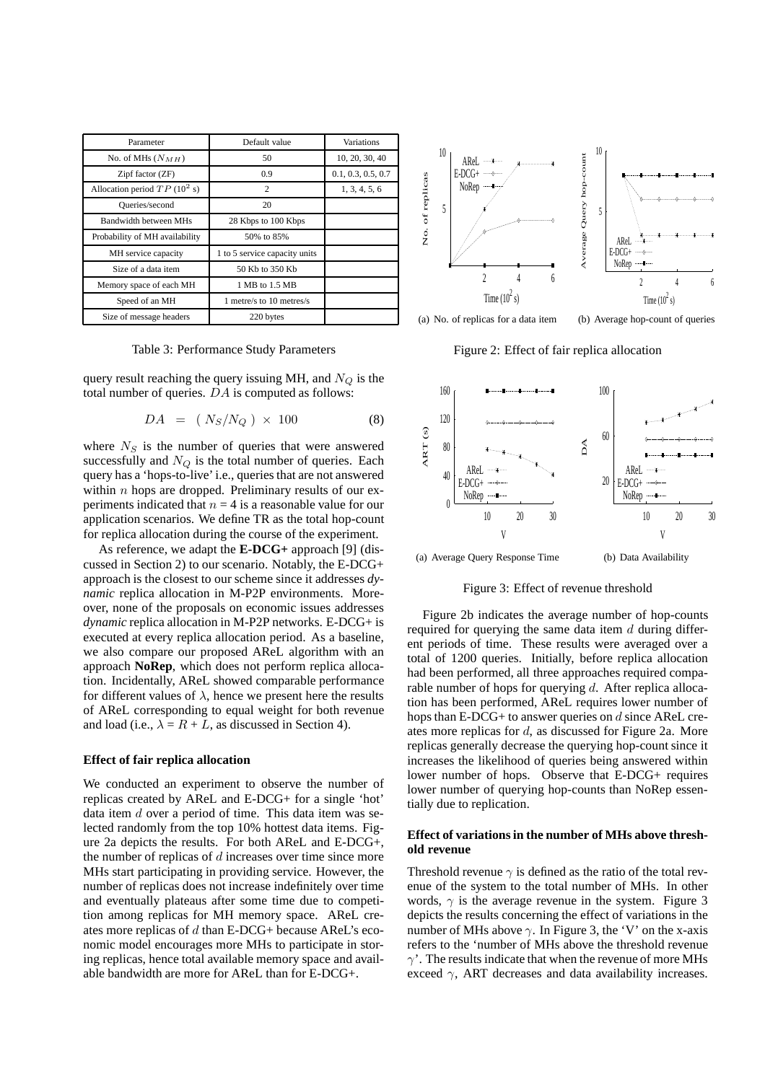| Parameter                      | Default value                 | <b>Variations</b>  |
|--------------------------------|-------------------------------|--------------------|
| No. of MHs $(N_{MH})$          | 50                            | 10, 20, 30, 40     |
| Zipf factor (ZF)               | 0.9                           | 0.1, 0.3, 0.5, 0.7 |
| Allocation period $TP(10^2 s)$ | $\overline{c}$                | 1, 3, 4, 5, 6      |
| Queries/second                 | 20                            |                    |
| Bandwidth between MHs          | 28 Kbps to 100 Kbps           |                    |
| Probability of MH availability | 50% to 85%                    |                    |
| MH service capacity            | 1 to 5 service capacity units |                    |
| Size of a data item            | 50 Kb to 350 Kb               |                    |
| Memory space of each MH        | 1 MB to 1.5 MB                |                    |
| Speed of an MH                 | 1 metre/s to 10 metres/s      |                    |
| Size of message headers        | 220 bytes                     |                    |

Table 3: Performance Study Parameters

query result reaching the query issuing MH, and  $N_Q$  is the total number of queries. DA is computed as follows:

$$
DA = (N_S/N_Q) \times 100 \tag{8}
$$

where  $N<sub>S</sub>$  is the number of queries that were answered successfully and  $N_Q$  is the total number of queries. Each query has a 'hops-to-live'i.e., queries that are not answered within  $n$  hops are dropped. Preliminary results of our experiments indicated that  $n = 4$  is a reasonable value for our application scenarios. We define TR as the total hop-count for replica allocation during the course of the experiment.

As reference, we adapt the **E-DCG+** approach [9] (discussed in Section 2) to our scenario. Notably, the E-DCG+ approach is the closest to our scheme since it addresses *dynamic* replica allocation in M-P2P environments. Moreover, none of the proposals on economic issues addresses *dynamic* replica allocation in M-P2P networks. E-DCG+ is executed at every replica allocation period. As a baseline, we also compare our proposed AReL algorithm with an approach **NoRep**, which does not perform replica allocation. Incidentally, AReL showed comparable performance for different values of  $\lambda$ , hence we present here the results of AReL corresponding to equal weight for both revenue and load (i.e.,  $\lambda = R + L$ , as discussed in Section 4).

### **Effect of fair replica allocation**

We conducted an experiment to observe the number of replicas created by AReL and E-DCG+ for a single 'hot' data item d over a period of time. This data item was selected randomly from the top 10% hottest data items. Figure 2a depicts the results. For both AReL and E-DCG+, the number of replicas of  $d$  increases over time since more MHs start participating in providing service. However, the number of replicas does not increase indefinitely over time and eventually plateaus after some time due to competition among replicas for MH memory space. AReL creates more replicas of d than E-DCG+ because AReL's economic model encourages more MHs to participate in storing replicas, hence total available memory space and available bandwidth are more for AReL than for E-DCG+.



(b) Average hop-count of queries

Figure 2: Effect of fair replica allocation



(a) Average Query Response Time (b) Data Availability

Figure 3: Effect of revenue threshold

Figure 2b indicates the average number of hop-counts required for querying the same data item  $d$  during different periods of time. These results were averaged over a total of 1200 queries. Initially, before replica allocation had been performed, all three approaches required comparable number of hops for querying  $d$ . After replica allocation has been performed, AReL requires lower number of hops than E-DCG+ to answer queries on d since AReL creates more replicas for d, as discussed for Figure 2a. More replicas generally decrease the querying hop-count since it increases the likelihood of queries being answered within lower number of hops. Observe that E-DCG+ requires lower number of querying hop-counts than NoRep essentially due to replication.

## **Effect of variationsin the number of MHs above threshold revenue**

Threshold revenue  $\gamma$  is defined as the ratio of the total revenue of the system to the total number of MHs. In other words,  $\gamma$  is the average revenue in the system. Figure 3 depicts the results concerning the effect of variations in the number of MHs above  $\gamma$ . In Figure 3, the 'V' on the x-axis refers to the 'number of MHs above the threshold revenue  $\gamma'$ . The results indicate that when the revenue of more MHs exceed  $\gamma$ , ART decreases and data availability increases.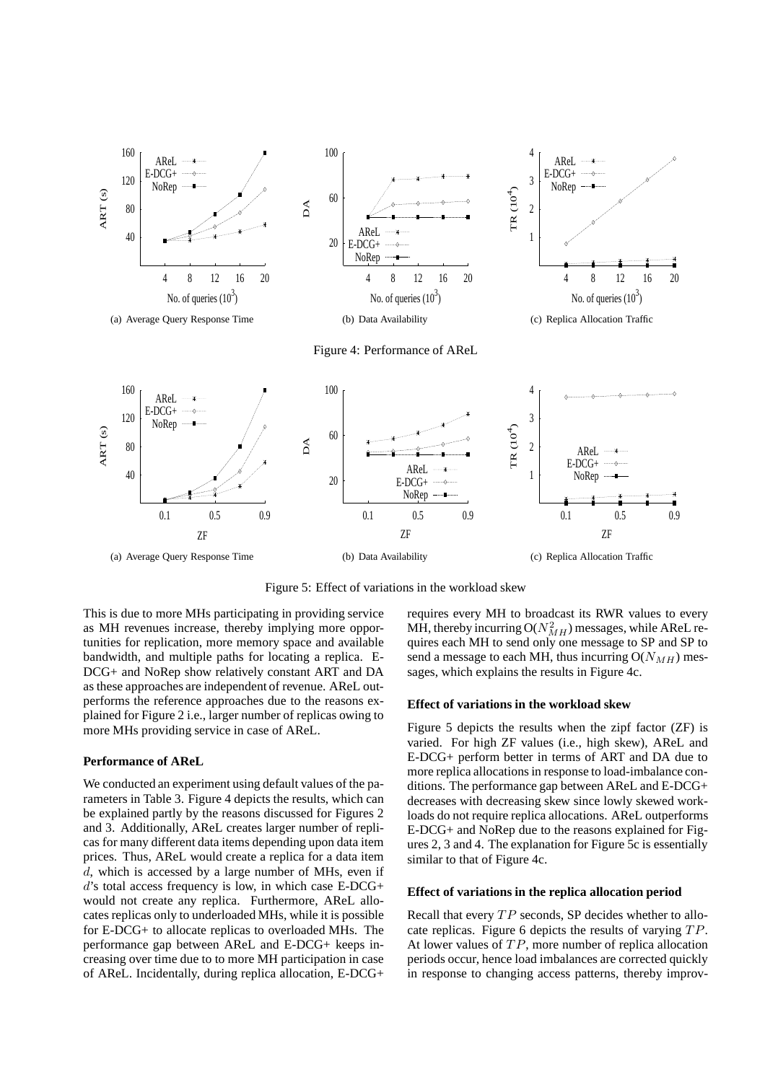

Figure 4: Performance of AReL



Figure 5: Effect of variations in the workload skew

This is due to more MHs participating in providing service as MH revenues increase, thereby implying more opportunities for replication, more memory space and available bandwidth, and multiple paths for locating a replica. E-DCG+ and NoRep show relatively constant ART and DA as these approaches are independent of revenue. AReL outperforms the reference approaches due to the reasons explained for Figure 2 i.e., larger number of replicas owing to more MHs providing service in case of AReL.

## **Performance of AReL**

We conducted an experiment using default values of the parameters in Table 3. Figure 4 depicts the results, which can be explained partly by the reasons discussed for Figures 2 and 3. Additionally, AReL creates larger number of replicas for many different data items depending upon data item prices. Thus, AReL would create a replica for a data item d, which is accessed by a large number of MHs, even if d's total access frequency is low, in which case E-DCG+ would not create any replica. Furthermore, AReL allocates replicas only to underloaded MHs, while it is possible for E-DCG+ to allocate replicas to overloaded MHs. The performance gap between AReL and E-DCG+ keeps increasing over time due to to more MH participation in case of AReL. Incidentally, during replica allocation, E-DCG+

requires every MH to broadcast its RWR values to every MH, thereby incurring  $O(N_{MH}^2)$  messages, while AReL requires each MH to send only one message to SP and SP to send a message to each MH, thus incurring  $O(N_{MH})$  messages, which explains the results in Figure 4c.

#### **Effect of variations in the workload skew**

Figure 5 depicts the results when the zipf factor (ZF) is varied. For high ZF values (i.e., high skew), AReL and E-DCG+ perform better in terms of ART and DA due to more replica allocations in response to load-imbalance conditions. The performance gap between AReL and E-DCG+ decreases with decreasing skew since lowly skewed workloads do not require replica allocations. AReL outperforms E-DCG+ and NoRep due to the reasons explained for Figures 2, 3 and 4. The explanation for Figure 5c is essentially similar to that of Figure 4c.

## **Effect of variations in the replica allocation period**

Recall that every  $TP$  seconds, SP decides whether to allocate replicas. Figure 6 depicts the results of varying TP. At lower values of  $TP$ , more number of replica allocation periods occur, hence load imbalances are corrected quickly in response to changing access patterns, thereby improv-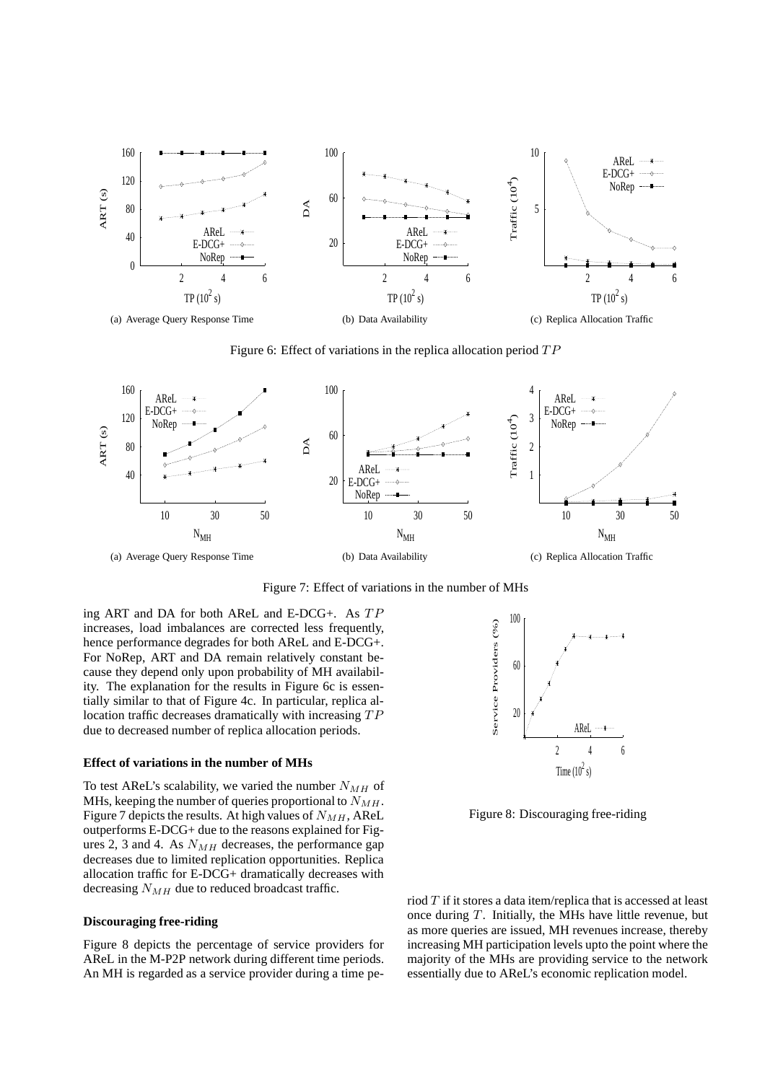

Figure 6: Effect of variations in the replica allocation period  $TP$ 

![](_page_10_Figure_2.jpeg)

Figure 7: Effect of variations in the number of MHs

ing ART and DA for both AReL and E-DCG+. As TP increases, load imbalances are corrected less frequently, hence performance degrades for both AReL and E-DCG+. For NoRep, ART and DA remain relatively constant because they depend only upon probability of MH availability. The explanation for the results in Figure 6c is essentially similar to that of Figure 4c. In particular, replica allocation traffic decreases dramatically with increasing TP due to decreased number of replica allocation periods.

### **Effect of variations in the number of MHs**

To test AReL's scalability, we varied the number  $N_{MH}$  of MHs, keeping the number of queries proportional to  $N_{MH}$ . Figure 7 depicts the results. At high values of  $N_{MH}$ , AReL outperforms E-DCG+ due to the reasons explained for Figures 2, 3 and 4. As  $N_{MH}$  decreases, the performance gap decreases due to limited replication opportunities. Replica allocation traffic for E-DCG+ dramatically decreases with decreasing  $N_{MH}$  due to reduced broadcast traffic.

#### **Discouraging free-riding**

Figure 8 depicts the percentage of service providers for AReL in the M-P2P network during different time periods. An MH is regarded as a service provider during a time pe-

![](_page_10_Figure_9.jpeg)

Figure 8: Discouraging free-riding

riod  $T$  if it stores a data item/replica that is accessed at least once during  $T$ . Initially, the MHs have little revenue, but as more queries are issued, MH revenues increase, thereby increasing MH participation levels upto the point where the majority of the MHs are providing service to the network essentially due to AReL's economic replication model.